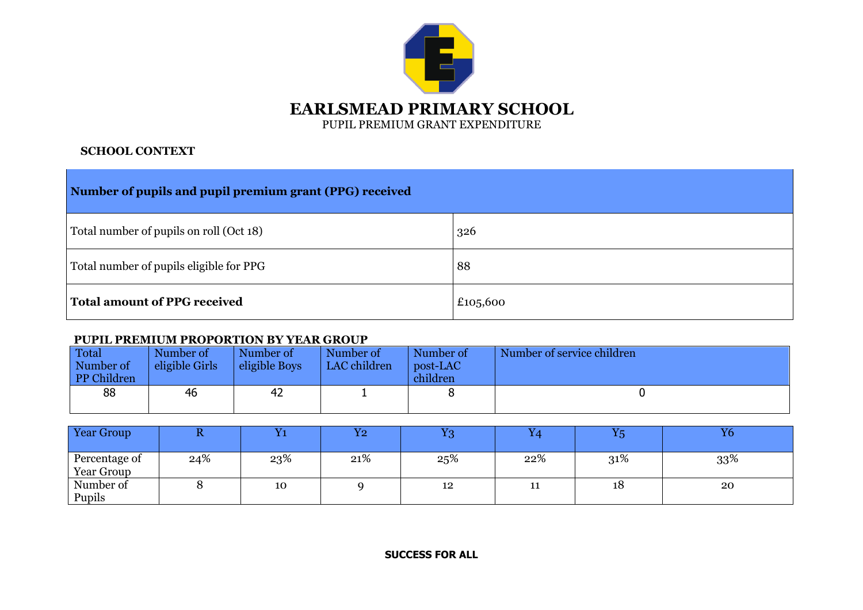

## **SCHOOL CONTEXT**

| Number of pupils and pupil premium grant (PPG) received |     |  |  |  |  |  |
|---------------------------------------------------------|-----|--|--|--|--|--|
| Total number of pupils on roll (Oct 18)                 | 326 |  |  |  |  |  |
| Total number of pupils eligible for PPG                 | 88  |  |  |  |  |  |
| <b>Total amount of PPG received</b><br>£105,600         |     |  |  |  |  |  |

## **PUPIL PREMIUM PROPORTION BY YEAR GROUP**

| Total<br>Number of<br>PP Children | Number of<br>eligible Girls | Number of<br>eligible Boys | Number of<br>LAC children | Number of<br>post-LAC<br>children | Number of service children |
|-----------------------------------|-----------------------------|----------------------------|---------------------------|-----------------------------------|----------------------------|
| 88                                | 46                          | 42                         |                           |                                   |                            |

| Year Group                  |     |     | $\overline{Y2}$ | $\mathbf{v}_0$ |     | $\mathbf{V}$ | Y6  |
|-----------------------------|-----|-----|-----------------|----------------|-----|--------------|-----|
| Percentage of<br>Year Group | 24% | 23% | 21%             | 25%            | 22% | 31%          | 33% |
| Number of<br>Pupils         |     | 10  |                 | 12             | 11  | 18           | 20  |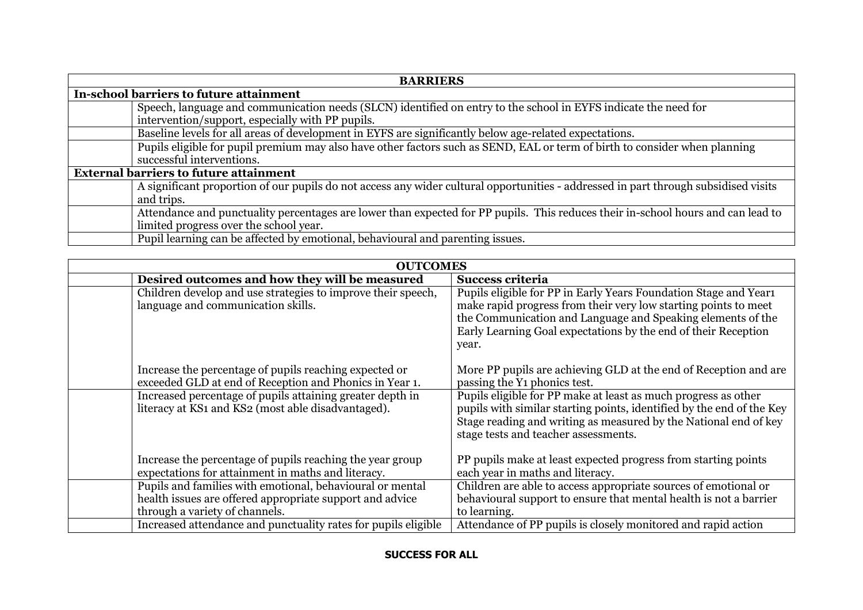| <b>BARRIERS</b>                                                                                                                     |  |  |  |  |  |  |
|-------------------------------------------------------------------------------------------------------------------------------------|--|--|--|--|--|--|
| In-school barriers to future attainment                                                                                             |  |  |  |  |  |  |
| Speech, language and communication needs (SLCN) identified on entry to the school in EYFS indicate the need for                     |  |  |  |  |  |  |
| intervention/support, especially with PP pupils.                                                                                    |  |  |  |  |  |  |
| Baseline levels for all areas of development in EYFS are significantly below age-related expectations.                              |  |  |  |  |  |  |
| Pupils eligible for pupil premium may also have other factors such as SEND, EAL or term of birth to consider when planning          |  |  |  |  |  |  |
| successful interventions.                                                                                                           |  |  |  |  |  |  |
| <b>External barriers to future attainment</b>                                                                                       |  |  |  |  |  |  |
| A significant proportion of our pupils do not access any wider cultural opportunities - addressed in part through subsidised visits |  |  |  |  |  |  |
| and trips.                                                                                                                          |  |  |  |  |  |  |
| Attendance and punctuality percentages are lower than expected for PP pupils. This reduces their in-school hours and can lead to    |  |  |  |  |  |  |
| limited progress over the school year.                                                                                              |  |  |  |  |  |  |
| Pupil learning can be affected by emotional, behavioural and parenting issues.                                                      |  |  |  |  |  |  |

| <b>OUTCOMES</b>                                                                                                                                         |                                                                                                                                                                                                                                                                              |  |  |  |  |  |
|---------------------------------------------------------------------------------------------------------------------------------------------------------|------------------------------------------------------------------------------------------------------------------------------------------------------------------------------------------------------------------------------------------------------------------------------|--|--|--|--|--|
| Desired outcomes and how they will be measured                                                                                                          | <b>Success criteria</b>                                                                                                                                                                                                                                                      |  |  |  |  |  |
| Children develop and use strategies to improve their speech,<br>language and communication skills.                                                      | Pupils eligible for PP in Early Years Foundation Stage and Year<br>make rapid progress from their very low starting points to meet<br>the Communication and Language and Speaking elements of the<br>Early Learning Goal expectations by the end of their Reception<br>year. |  |  |  |  |  |
| Increase the percentage of pupils reaching expected or<br>exceeded GLD at end of Reception and Phonics in Year 1.                                       | More PP pupils are achieving GLD at the end of Reception and are<br>passing the Y <sub>1</sub> phonics test.                                                                                                                                                                 |  |  |  |  |  |
| Increased percentage of pupils attaining greater depth in<br>literacy at KS1 and KS2 (most able disadvantaged).                                         | Pupils eligible for PP make at least as much progress as other<br>pupils with similar starting points, identified by the end of the Key<br>Stage reading and writing as measured by the National end of key<br>stage tests and teacher assessments.                          |  |  |  |  |  |
| Increase the percentage of pupils reaching the year group<br>expectations for attainment in maths and literacy.                                         | PP pupils make at least expected progress from starting points<br>each year in maths and literacy.                                                                                                                                                                           |  |  |  |  |  |
| Pupils and families with emotional, behavioural or mental<br>health issues are offered appropriate support and advice<br>through a variety of channels. | Children are able to access appropriate sources of emotional or<br>behavioural support to ensure that mental health is not a barrier<br>to learning.                                                                                                                         |  |  |  |  |  |
| Increased attendance and punctuality rates for pupils eligible                                                                                          | Attendance of PP pupils is closely monitored and rapid action                                                                                                                                                                                                                |  |  |  |  |  |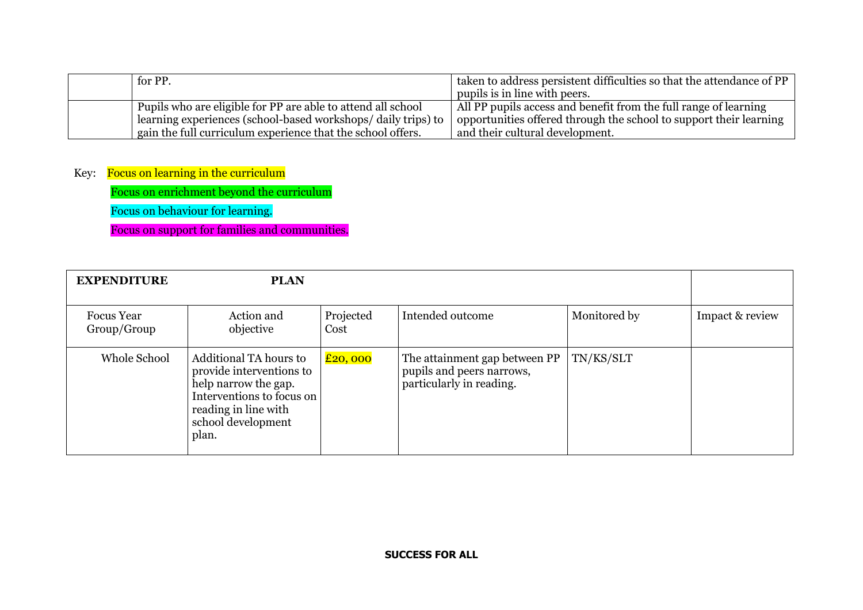| for PP.                                                      | I taken to address persistent difficulties so that the attendance of PP |
|--------------------------------------------------------------|-------------------------------------------------------------------------|
|                                                              | pupils is in line with peers.                                           |
| Pupils who are eligible for PP are able to attend all school | All PP pupils access and benefit from the full range of learning        |
| learning experiences (school-based workshops/daily trips) to | opportunities offered through the school to support their learning      |
| gain the full curriculum experience that the school offers.  | and their cultural development.                                         |

## Key: Focus on learning in the curriculum

Focus on enrichment beyond the curriculum

Focus on behaviour for learning.

Focus on support for families and communities.

| <b>EXPENDITURE</b>               | <b>PLAN</b>                                                                                                                                                    |                   |                                                                                        |              |                 |
|----------------------------------|----------------------------------------------------------------------------------------------------------------------------------------------------------------|-------------------|----------------------------------------------------------------------------------------|--------------|-----------------|
| <b>Focus</b> Year<br>Group/Group | Action and<br>objective                                                                                                                                        | Projected<br>Cost | Intended outcome                                                                       | Monitored by | Impact & review |
| Whole School                     | Additional TA hours to<br>provide interventions to<br>help narrow the gap.<br>Interventions to focus on<br>reading in line with<br>school development<br>plan. | $E$ 20, 000       | The attainment gap between PP<br>pupils and peers narrows,<br>particularly in reading. | TN/KS/SLT    |                 |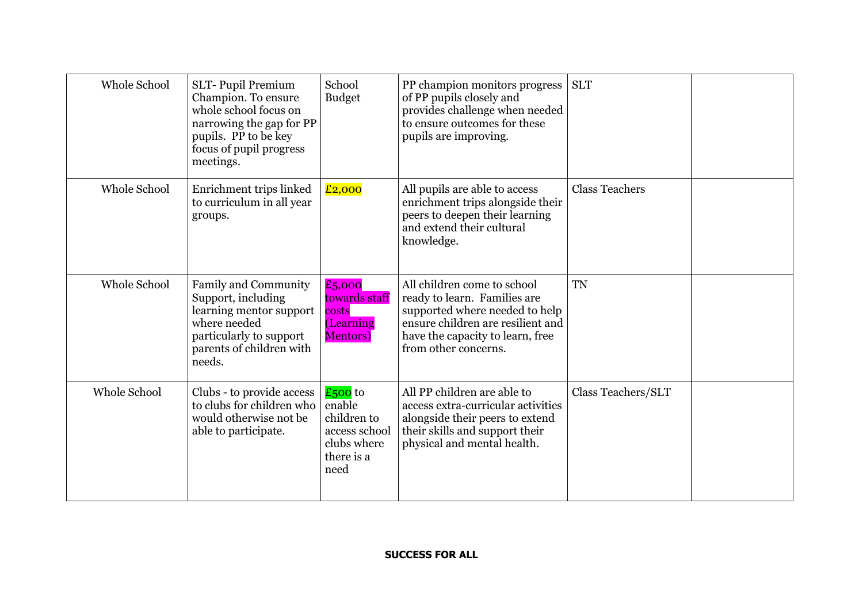| Whole School | <b>SLT-Pupil Premium</b><br>Champion. To ensure<br>whole school focus on<br>narrowing the gap for PP<br>pupils. PP to be key<br>focus of pupil progress<br>meetings. | School<br><b>Budget</b>                                                                  | PP champion monitors progress<br>of PP pupils closely and<br>provides challenge when needed<br>to ensure outcomes for these<br>pupils are improving.                                           | <b>SLT</b>            |
|--------------|----------------------------------------------------------------------------------------------------------------------------------------------------------------------|------------------------------------------------------------------------------------------|------------------------------------------------------------------------------------------------------------------------------------------------------------------------------------------------|-----------------------|
| Whole School | Enrichment trips linked<br>to curriculum in all year<br>groups.                                                                                                      | £2,000                                                                                   | All pupils are able to access<br>enrichment trips alongside their<br>peers to deepen their learning<br>and extend their cultural<br>knowledge.                                                 | <b>Class Teachers</b> |
| Whole School | <b>Family and Community</b><br>Support, including<br>learning mentor support<br>where needed<br>particularly to support<br>parents of children with<br>needs.        | £5,000<br>towards staff<br>costs<br>(Learning<br><b>Mentors</b> )                        | All children come to school<br>ready to learn. Families are<br>supported where needed to help<br>ensure children are resilient and<br>have the capacity to learn, free<br>from other concerns. | <b>TN</b>             |
| Whole School | Clubs - to provide access<br>to clubs for children who<br>would otherwise not be<br>able to participate.                                                             | $£500$ to<br>enable<br>children to<br>access school<br>clubs where<br>there is a<br>need | All PP children are able to<br>access extra-curricular activities<br>alongside their peers to extend<br>their skills and support their<br>physical and mental health.                          | Class Teachers/SLT    |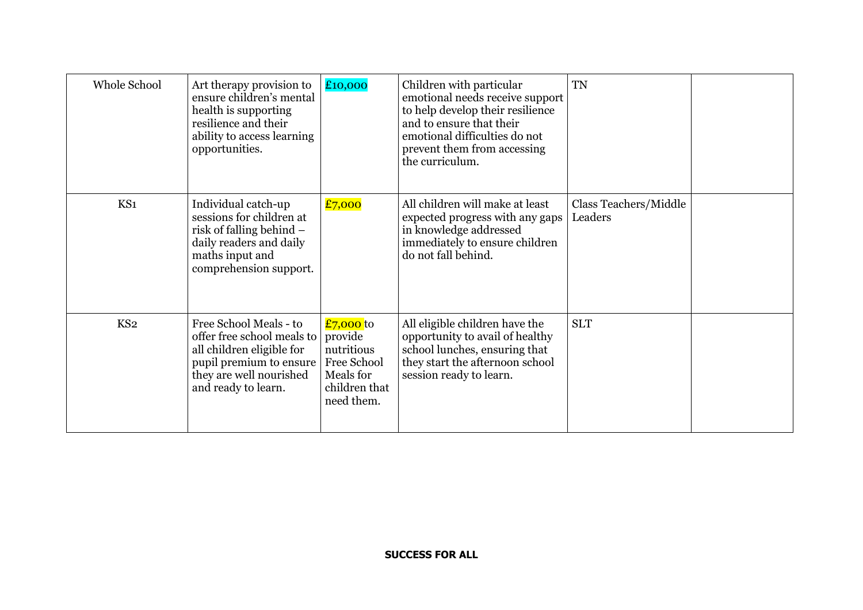| Whole School    | Art therapy provision to<br>ensure children's mental<br>health is supporting<br>resilience and their<br>ability to access learning<br>opportunities.           | £10,000                                                                                       | Children with particular<br>emotional needs receive support<br>to help develop their resilience<br>and to ensure that their<br>emotional difficulties do not<br>prevent them from accessing<br>the curriculum. | <b>TN</b>                        |  |
|-----------------|----------------------------------------------------------------------------------------------------------------------------------------------------------------|-----------------------------------------------------------------------------------------------|----------------------------------------------------------------------------------------------------------------------------------------------------------------------------------------------------------------|----------------------------------|--|
| KS1             | Individual catch-up<br>sessions for children at<br>risk of falling behind $-$<br>daily readers and daily<br>maths input and<br>comprehension support.          | £7,000                                                                                        | All children will make at least<br>expected progress with any gaps<br>in knowledge addressed<br>immediately to ensure children<br>do not fall behind.                                                          | Class Teachers/Middle<br>Leaders |  |
| KS <sub>2</sub> | Free School Meals - to<br>offer free school meals to<br>all children eligible for<br>pupil premium to ensure<br>they are well nourished<br>and ready to learn. | £7,000 to<br>provide<br>nutritious<br>Free School<br>Meals for<br>children that<br>need them. | All eligible children have the<br>opportunity to avail of healthy<br>school lunches, ensuring that<br>they start the afternoon school<br>session ready to learn.                                               | <b>SLT</b>                       |  |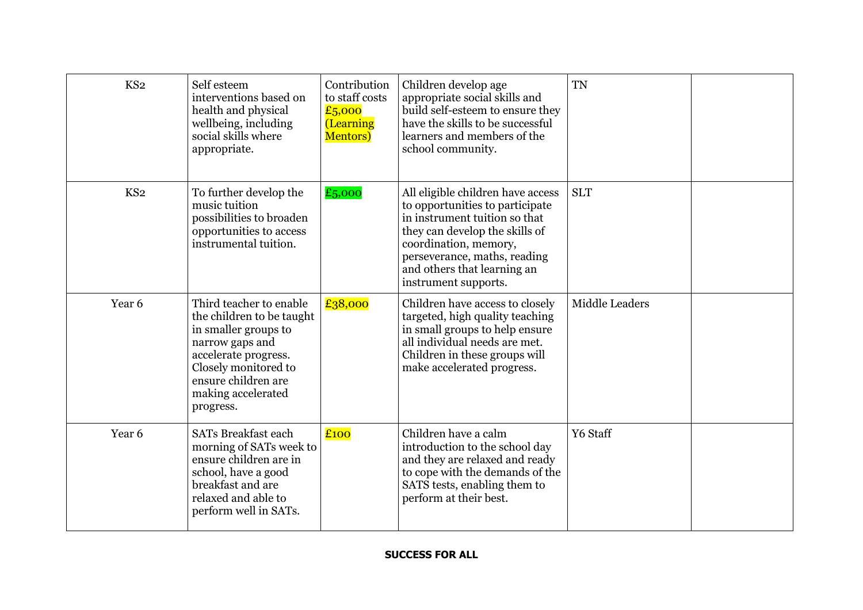| KS <sub>2</sub> | Self esteem<br>interventions based on<br>health and physical<br>wellbeing, including<br>social skills where<br>appropriate.                                                                               | Contribution<br>to staff costs<br>£5,000<br>(Learning<br><b>Mentors</b> ) | Children develop age<br>appropriate social skills and<br>build self-esteem to ensure they<br>have the skills to be successful<br>learners and members of the<br>school community.                                                                       | <b>TN</b>             |  |
|-----------------|-----------------------------------------------------------------------------------------------------------------------------------------------------------------------------------------------------------|---------------------------------------------------------------------------|---------------------------------------------------------------------------------------------------------------------------------------------------------------------------------------------------------------------------------------------------------|-----------------------|--|
| KS <sub>2</sub> | To further develop the<br>music tuition<br>possibilities to broaden<br>opportunities to access<br>instrumental tuition.                                                                                   | £5,000                                                                    | All eligible children have access<br>to opportunities to participate<br>in instrument tuition so that<br>they can develop the skills of<br>coordination, memory,<br>perseverance, maths, reading<br>and others that learning an<br>instrument supports. | <b>SLT</b>            |  |
| Year 6          | Third teacher to enable<br>the children to be taught<br>in smaller groups to<br>narrow gaps and<br>accelerate progress.<br>Closely monitored to<br>ensure children are<br>making accelerated<br>progress. | £38,000                                                                   | Children have access to closely<br>targeted, high quality teaching<br>in small groups to help ensure<br>all individual needs are met.<br>Children in these groups will<br>make accelerated progress.                                                    | <b>Middle Leaders</b> |  |
| Year 6          | <b>SATs Breakfast each</b><br>morning of SATs week to<br>ensure children are in<br>school, have a good<br>breakfast and are<br>relaxed and able to<br>perform well in SATs.                               | £100                                                                      | Children have a calm<br>introduction to the school day<br>and they are relaxed and ready<br>to cope with the demands of the<br>SATS tests, enabling them to<br>perform at their best.                                                                   | Y6 Staff              |  |